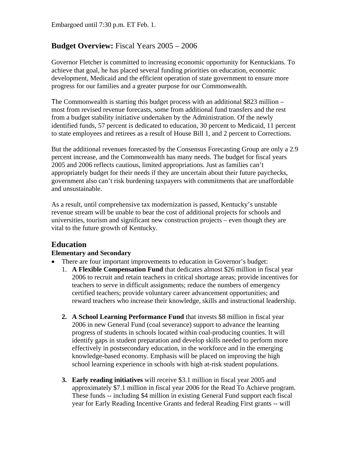Embargoed until 7:30 p.m. ET Feb. 1.

#### **Budget Overview:** Fiscal Years 2005 – 2006

Governor Fletcher is committed to increasing economic opportunity for Kentuckians. To achieve that goal, he has placed several funding priorities on education, economic development, Medicaid and the efficient operation of state government to ensure more progress for our families and a greater purpose for our Commonwealth.

The Commonwealth is starting this budget process with an additional \$823 million – most from revised revenue forecasts, some from additional fund transfers and the rest from a budget stability initiative undertaken by the Administration. Of the newly identified funds, 57 percent is dedicated to education, 30 percent to Medicaid, 11 percent to state employees and retirees as a result of House Bill 1, and 2 percent to Corrections.

But the additional revenues forecasted by the Consensus Forecasting Group are only a 2.9 percent increase, and the Commonwealth has many needs. The budget for fiscal years 2005 and 2006 reflects cautious, limited appropriations. Just as families can't appropriately budget for their needs if they are uncertain about their future paychecks, government also can't risk burdening taxpayers with commitments that are unaffordable and unsustainable.

As a result, until comprehensive tax modernization is passed, Kentucky's unstable revenue stream will be unable to bear the cost of additional projects for schools and universities, tourism and significant new construction projects – even though they are vital to the future growth of Kentucky.

## **Education**

#### **Elementary and Secondary**

- There are four important improvements to education in Governor's budget:
	- 1. **A Flexible Compensation Fund** that dedicates almost \$26 million in fiscal year 2006 to recruit and retain teachers in critical shortage areas; provide incentives for teachers to serve in difficult assignments; reduce the numbers of emergency certified teachers; provide voluntary career advancement opportunities; and reward teachers who increase their knowledge, skills and instructional leadership.
	- **2. A School Learning Performance Fund** that invests \$8 million in fiscal year 2006 in new General Fund (coal severance) support to advance the learning progress of students in schools located within coal-producing counties. It will identify gaps in student preparation and develop skills needed to perform more effectively in postsecondary education, in the workforce and in the emerging knowledge-based economy. Emphasis will be placed on improving the high school learning experience in schools with high at-risk student populations.
	- **3. Early reading initiatives** will receive \$3.1 million in fiscal year 2005 and approximately \$7.1 million in fiscal year 2006 for the Read To Achieve program. These funds -- including \$4 million in existing General Fund support each fiscal year for Early Reading Incentive Grants and federal Reading First grants -- will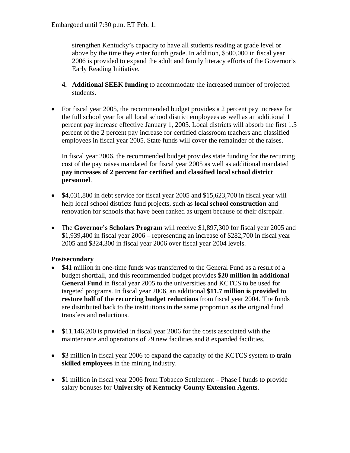strengthen Kentucky's capacity to have all students reading at grade level or above by the time they enter fourth grade. In addition, \$500,000 in fiscal year 2006 is provided to expand the adult and family literacy efforts of the Governor's Early Reading Initiative.

- **4. Additional SEEK funding** to accommodate the increased number of projected students.
- For fiscal year 2005, the recommended budget provides a 2 percent pay increase for the full school year for all local school district employees as well as an additional 1 percent pay increase effective January 1, 2005. Local districts will absorb the first 1.5 percent of the 2 percent pay increase for certified classroom teachers and classified employees in fiscal year 2005. State funds will cover the remainder of the raises.

In fiscal year 2006, the recommended budget provides state funding for the recurring cost of the pay raises mandated for fiscal year 2005 as well as additional mandated **pay increases of 2 percent for certified and classified local school district personnel**.

- \$4,031,800 in debt service for fiscal year 2005 and \$15,623,700 in fiscal year will help local school districts fund projects, such as **local school construction** and renovation for schools that have been ranked as urgent because of their disrepair.
- The **Governor's Scholars Program** will receive \$1,897,300 for fiscal year 2005 and \$1,939,400 in fiscal year 2006 – representing an increase of \$282,700 in fiscal year 2005 and \$324,300 in fiscal year 2006 over fiscal year 2004 levels.

#### **Postsecondary**

- \$41 million in one-time funds was transferred to the General Fund as a result of a budget shortfall, and this recommended budget provides \$**20 million in additional General Fund** in fiscal year 2005 to the universities and KCTCS to be used for targeted programs. In fiscal year 2006, an additional **\$11.7 million is provided to restore half of the recurring budget reductions** from fiscal year 2004. The funds are distributed back to the institutions in the same proportion as the original fund transfers and reductions.
- \$11,146,200 is provided in fiscal year 2006 for the costs associated with the maintenance and operations of 29 new facilities and 8 expanded facilities.
- \$3 million in fiscal year 2006 to expand the capacity of the KCTCS system to **train skilled employees** in the mining industry.
- \$1 million in fiscal year 2006 from Tobacco Settlement Phase I funds to provide salary bonuses for **University of Kentucky County Extension Agents**.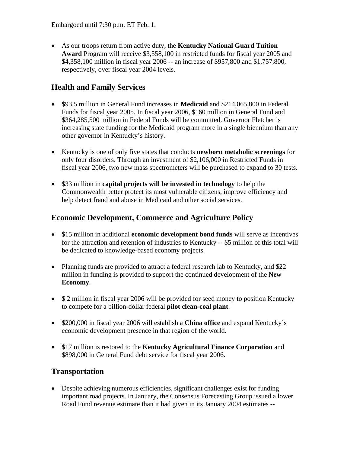Embargoed until 7:30 p.m. ET Feb. 1.

• As our troops return from active duty, the **Kentucky National Guard Tuition Award** Program will receive \$3,558,100 in restricted funds for fiscal year 2005 and \$4,358,100 million in fiscal year 2006 -- an increase of \$957,800 and \$1,757,800, respectively, over fiscal year 2004 levels.

## **Health and Family Services**

- \$93.5 million in General Fund increases in **Medicaid** and \$214,065,800 in Federal Funds for fiscal year 2005. In fiscal year 2006, \$160 million in General Fund and \$364,285,500 million in Federal Funds will be committed. Governor Fletcher is increasing state funding for the Medicaid program more in a single biennium than any other governor in Kentucky's history.
- Kentucky is one of only five states that conducts **newborn metabolic screenings** for only four disorders. Through an investment of \$2,106,000 in Restricted Funds in fiscal year 2006, two new mass spectrometers will be purchased to expand to 30 tests.
- \$33 million in **capital projects will be invested in technology** to help the Commonwealth better protect its most vulnerable citizens, improve efficiency and help detect fraud and abuse in Medicaid and other social services.

### **Economic Development, Commerce and Agriculture Policy**

- \$15 million in additional **economic development bond funds** will serve as incentives for the attraction and retention of industries to Kentucky -- \$5 million of this total will be dedicated to knowledge-based economy projects.
- Planning funds are provided to attract a federal research lab to Kentucky, and \$22 million in funding is provided to support the continued development of the **New Economy**.
- $$ 2$  million in fiscal year 2006 will be provided for seed money to position Kentucky to compete for a billion-dollar federal **pilot clean-coal plant**.
- \$200,000 in fiscal year 2006 will establish a **China office** and expand Kentucky's economic development presence in that region of the world.
- \$17 million is restored to the **Kentucky Agricultural Finance Corporation** and \$898,000 in General Fund debt service for fiscal year 2006.

#### **Transportation**

• Despite achieving numerous efficiencies, significant challenges exist for funding important road projects. In January, the Consensus Forecasting Group issued a lower Road Fund revenue estimate than it had given in its January 2004 estimates --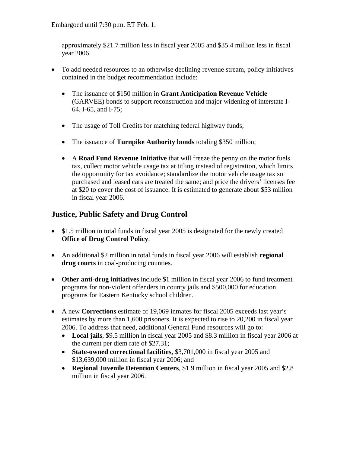Embargoed until 7:30 p.m. ET Feb. 1.

approximately \$21.7 million less in fiscal year 2005 and \$35.4 million less in fiscal year 2006.

- To add needed resources to an otherwise declining revenue stream, policy initiatives contained in the budget recommendation include:
	- The issuance of \$150 million in **Grant Anticipation Revenue Vehicle** (GARVEE) bonds to support reconstruction and major widening of interstate I-64, I-65, and I-75;
	- The usage of Toll Credits for matching federal highway funds;
	- The issuance of **Turnpike Authority bonds** totaling \$350 million;
	- A **Road Fund Revenue Initiative** that will freeze the penny on the motor fuels tax, collect motor vehicle usage tax at titling instead of registration, which limits the opportunity for tax avoidance; standardize the motor vehicle usage tax so purchased and leased cars are treated the same; and price the drivers' licenses fee at \$20 to cover the cost of issuance. It is estimated to generate about \$53 million in fiscal year 2006.

### **Justice, Public Safety and Drug Control**

- \$1.5 million in total funds in fiscal year 2005 is designated for the newly created **Office of Drug Control Policy**.
- An additional \$2 million in total funds in fiscal year 2006 will establish **regional drug courts** in coal-producing counties.
- **Other anti-drug initiatives** include \$1 million in fiscal year 2006 to fund treatment programs for non-violent offenders in county jails and \$500,000 for education programs for Eastern Kentucky school children.
- A new **Corrections** estimate of 19,069 inmates for fiscal 2005 exceeds last year's estimates by more than 1,600 prisoners. It is expected to rise to 20,200 in fiscal year 2006. To address that need, additional General Fund resources will go to:
	- **Local jails**, \$9.5 million in fiscal year 2005 and \$8.3 million in fiscal year 2006 at the current per diem rate of \$27.31;
	- **State-owned correctional facilities,** \$3,701,000 in fiscal year 2005 and \$13,639,000 million in fiscal year 2006; and
	- **Regional Juvenile Detention Centers**, \$1.9 million in fiscal year 2005 and \$2.8 million in fiscal year 2006.